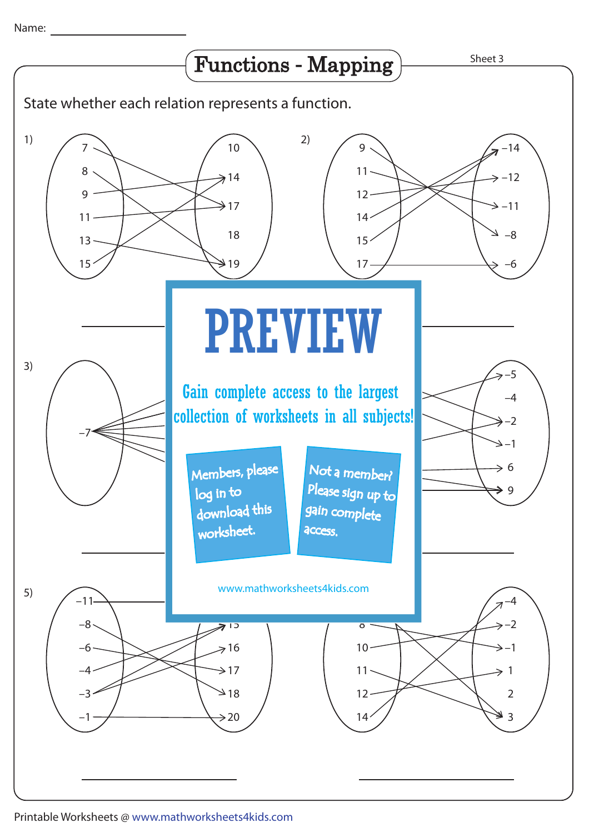Name: